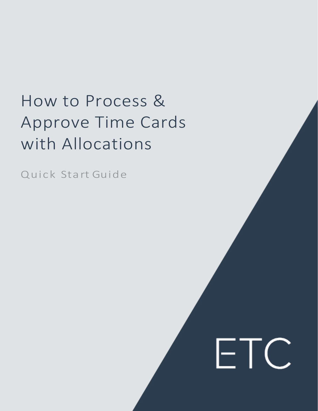# How to Process & Approve Time Cards with Allocations

**FTC** 

Quick Sta rt Guide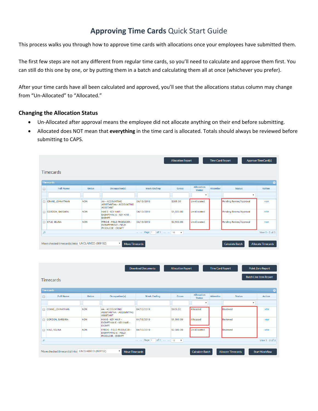### **Approving Time Cards** Quick Start Guide

This process walks you through how to approve time cards with allocations once your employees have submitted them.

The first few steps are not any different from regular time cards, so you'll need to calculate and approve them first. You can still do this one by one, or by putting them in a batch and calculating them all at once (whichever you prefer).

After your time cards have all been calculated and approved, you'll see that the allocations status column may change from "Un-Allocated" to "Allocated."

#### **Changing the Allocation Status**

- Un-Allocated after approval means the employee did not allocate anything on their end before submitting.
- Allocated does NOT mean that **everything** in the time card is allocated. Totals should always be reviewed before submitting to CAPS.

|        |                                                   |              |                                                                                             |                                                          | <b>Allocation Report</b>  |                                    | <b>Time Card Report</b> |                         | <b>Approve TimeCard(s)</b> |
|--------|---------------------------------------------------|--------------|---------------------------------------------------------------------------------------------|----------------------------------------------------------|---------------------------|------------------------------------|-------------------------|-------------------------|----------------------------|
|        | <b>Timecards</b>                                  |              |                                                                                             |                                                          |                           |                                    |                         |                         |                            |
|        | <b>Timecards</b>                                  |              |                                                                                             |                                                          |                           |                                    |                         |                         | Θ                          |
| $\Box$ | <b>Full Name</b>                                  | <b>Union</b> | Occupation(s)                                                                               | <b>Week Ending</b>                                       | <b>Gross</b>              | <b>Allocation</b><br><b>Status</b> | <b>Attentior</b>        | <b>Status</b>           | Action                     |
|        |                                                   |              |                                                                                             |                                                          |                           | $\boldsymbol{\mathrm{v}}$          |                         | $\mathbf{v}$            |                            |
| $\Box$ | CRANE, JOHNATHAN                                  | <b>NON</b>   | AA - ACCOUNTING<br>ASSISTANTAA - ACCOUNTING<br><b>ASSISTANT</b>                             | 04/13/2019                                               | \$905.00                  | Un-Allocated                       |                         | Pending Review/Approval | <b>VIEW</b>                |
| $\Box$ | <b>GORDON, BARBARA</b>                            | <b>NON</b>   | HAK-E - KEY HAIR -<br>EXEMPTHAK-E - KEY HAIR -<br><b>EXEMPT</b>                             | 04/13/2019                                               | \$1,500.00                | Un-Allocated                       |                         | Pending Review/Approval | <b>VIEW</b>                |
|        | KYLE, SELINA                                      | <b>NON</b>   | <b>FPRO-E - FIELD PRODUCER -</b><br><b>EXEMPTFPRO-E - FIELD</b><br><b>PRODUCER - EXEMPT</b> | 04/13/2019                                               | \$2,500.00                | Un-Allocated                       |                         | Pending Review/Approval | <b>VIEW</b>                |
| д      |                                                   |              |                                                                                             | of $1 \Rightarrow \Rightarrow 10$<br>Page 1<br>$14 - 34$ | $\boldsymbol{\mathrm{v}}$ |                                    |                         |                         | View $1 - 3$ of 3          |
|        | Move checked timecard(s) into: UNCLAIMED (869192) |              | $\overline{\mathbf{v}}$<br><b>Move Timecards</b>                                            |                                                          |                           |                                    |                         | <b>Calculate Batch</b>  | <b>Allocate Timecards</b>  |

|        |                                                   |            |                                                                                      | <b>Download Documents</b>                                | <b>Allocation Report</b>  |                                    | <b>Time Card Report</b> |                           | <b>Point Zero Report</b>      |
|--------|---------------------------------------------------|------------|--------------------------------------------------------------------------------------|----------------------------------------------------------|---------------------------|------------------------------------|-------------------------|---------------------------|-------------------------------|
|        | <b>Timecards</b>                                  |            |                                                                                      |                                                          |                           |                                    |                         |                           | <b>Batch Line Item Report</b> |
|        | <b>Timecards</b>                                  |            |                                                                                      |                                                          |                           |                                    |                         |                           |                               |
| $\Box$ | <b>Full Name</b>                                  | Union      | Occupation(s)                                                                        | <b>Week Ending</b>                                       | <b>Gross</b>              | <b>Allocation</b><br><b>Status</b> | <b>Attentior</b>        | <b>Status</b>             | Action                        |
|        |                                                   |            |                                                                                      |                                                          |                           | $\boldsymbol{\mathrm{v}}$          |                         |                           |                               |
| ∩      | CRANE, JOHNATHAN                                  | <b>NON</b> | AA - ACCOUNTING<br>ASSISTANTAA - ACCOUNTING<br><b>ASSISTANT</b>                      | 04/13/2019                                               | \$905.00                  | Allocated                          |                         | Reviewed                  | VIEW                          |
| $\Box$ | GORDON, BARBARA                                   | <b>NON</b> | HAK-E - KEY HAIR -<br>EXEMPTHAK-E - KEY HAIR -<br><b>EXEMPT</b>                      | 04/13/2019                                               | \$1,500.00                | Allocated                          |                         | Reviewed                  | VIEW                          |
| $\Box$ | KYLE, SELINA                                      | <b>NON</b> | FPRO-E - FIELD PRODUCER -<br><b>EXEMPTFPRO-E - FIELD</b><br><b>PRODUCER - EXEMPT</b> | 04/13/2019                                               | \$2,500.00                | Un-Allocated                       |                         | Reviewed                  | <b>VIEW</b>                   |
| д      |                                                   |            |                                                                                      | of $1 \Rightarrow \Rightarrow 10$<br>Page 1<br>$14 - 34$ | $\boldsymbol{\mathrm{v}}$ |                                    |                         |                           | View $1 - 3$ of 3             |
|        | Move checked timecard(s) into: UNCLAIMED (869192) |            | $\overline{\mathbf{v}}$<br><b>Move Timecards</b>                                     |                                                          |                           | <b>Calculate Batch</b>             |                         | <b>Allocate Timecards</b> | <b>Start Workflow</b>         |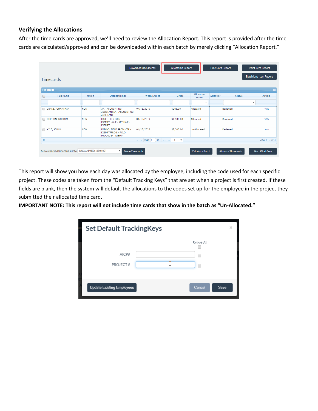#### **Verifying the Allocations**

After the time cards are approved, we'll need to review the Allocation Report. This report is provided after the time cards are calculated/approved and can be downloaded within each batch by merely clicking "Allocation Report."

|        |                                                   |            |                                                                                             | <b>Download Documents</b>                                | <b>Allocation Report</b> |                                    | <b>Time Card Report</b> |                           |              | <b>Point Zero Report</b>      |
|--------|---------------------------------------------------|------------|---------------------------------------------------------------------------------------------|----------------------------------------------------------|--------------------------|------------------------------------|-------------------------|---------------------------|--------------|-------------------------------|
|        | <b>Timecards</b>                                  |            |                                                                                             |                                                          |                          |                                    |                         |                           |              | <b>Batch Line Item Report</b> |
|        | <b>Timecards</b>                                  |            |                                                                                             |                                                          |                          |                                    |                         |                           |              | G                             |
| $\Box$ | <b>Full Name</b>                                  | Union      | Occupation(s)                                                                               | <b>Week Ending</b>                                       | <b>Gross</b>             | <b>Allocation</b><br><b>Status</b> | <b>Attention</b>        | <b>Status</b>             |              | Action                        |
|        |                                                   |            |                                                                                             |                                                          |                          | $\boldsymbol{\mathrm{v}}$          |                         |                           | $\mathbf{v}$ |                               |
|        | CRANE, JOHNATHAN                                  | <b>NON</b> | AA - ACCOUNTING<br>ASSISTANTAA - ACCOUNTING<br><b>ASSISTANT</b>                             | 04/13/2019                                               | \$905.00                 | Allocated                          |                         | Reviewed                  |              | VIEW                          |
| $\Box$ | <b>GORDON, BARBARA</b>                            | <b>NON</b> | HAK-E - KEY HAIR -<br>EXEMPTHAK-E - KEY HAIR -<br><b>EXEMPT</b>                             | 04/13/2019                                               | \$1,500.00               | Allocated                          |                         | Reviewed                  |              | <b>VIEW</b>                   |
|        | KYLE, SELINA                                      | <b>NON</b> | <b>FPRO-E - FIELD PRODUCER -</b><br><b>EXEMPTFPRO-E - FIELD</b><br><b>PRODUCER - EXEMPT</b> | 04/13/2019                                               | \$2,500.00               | Un-Allocated                       |                         | Reviewed                  |              | <b>VIEW</b>                   |
| д      |                                                   |            |                                                                                             | of $1 \Rightarrow \Rightarrow 10$<br>Page 1<br>$14 - 64$ | $\overline{\mathbf{v}}$  |                                    |                         |                           |              | View $1 - 3$ of 3             |
|        | Move checked timecard(s) into: UNCLAIMED (869192) |            | $\overline{\mathbf{v}}$<br><b>Move Timecards</b>                                            |                                                          |                          | <b>Calculate Batch</b>             |                         | <b>Allocate Timecards</b> |              | <b>Start Workflow</b>         |

This report will show you how each day was allocated by the employee, including the code used for each specific project. These codes are taken from the "Default Tracking Keys" that are set when a project is first created. If these fields are blank, then the system will default the allocations to the codes set up for the employee in the project they submitted their allocated time card.

**IMPORTANT NOTE: This report will not include time cards that show in the batch as "Un-Allocated."** 

| <b>Set Default TrackingKeys</b>  |                       | $\times$ |
|----------------------------------|-----------------------|----------|
| AICP#<br>PROJECT#                | Select All<br>۰<br>Г  |          |
| <b>Update Existing Employees</b> | Cancel<br><b>Save</b> |          |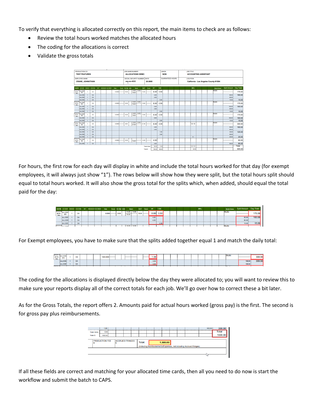To verify that everything is allocated correctly on this report, the main items to check are as follows:

- Review the total hours worked matches the allocated hours
- The coding for the allocations is correct
- Validate the gross totals

|                       | PRODUCTION CO.                      |                |    |      |                            |        |                   | <b>JOB NAME/NUMBER</b>        |       |                    |           |        | <b>UNION</b> |                         |  | <b>JOB TITLE</b> |            |                             |                                       |                     |           |
|-----------------------|-------------------------------------|----------------|----|------|----------------------------|--------|-------------------|-------------------------------|-------|--------------------|-----------|--------|--------------|-------------------------|--|------------------|------------|-----------------------------|---------------------------------------|---------------------|-----------|
|                       | <b>TEST FEATURES</b>                |                |    |      |                            |        |                   | <b>ALLOCATIONS DEMO</b>       |       |                    |           |        | <b>NON</b>   |                         |  |                  |            | <b>ACCOUNTING ASSISTANT</b> |                                       |                     |           |
|                       | <b>EMPLOYEE NAME</b>                |                |    |      |                            |        |                   | SOCIAL SECURITY NUMBER   RATE |       |                    |           |        |              | <b>GUARANTEED HOURS</b> |  | <b>LOCATION</b>  |            |                             |                                       |                     |           |
|                       |                                     |                |    |      |                            |        |                   |                               |       |                    |           |        |              |                         |  |                  |            |                             |                                       |                     |           |
|                       | <b>CRANE, JOHNATHAN</b>             |                |    |      |                            |        |                   | xxx-xx-4333                   |       | 20,0000            |           |        |              |                         |  |                  |            |                             | California - Los Angeles County-91504 |                     |           |
|                       |                                     |                |    |      |                            |        |                   |                               |       |                    |           |        |              |                         |  |                  |            |                             |                                       |                     |           |
|                       | <b>DATE</b> ACCOUNT SHOWID LOCATION |                |    | SCT. | <b>NSURANCE TAX CREDIT</b> | Rate   | Travel On Set NDB | <b>Moals</b>                  |       | <b>OUT</b> Travel  | <b>ST</b> | 1.5G   |              |                         |  |                  | <b>MPs</b> |                             | <b>Work Zone</b>                      | <b>Split Amount</b> | Day Total |
| 2019                  | <b>ALLODE</b>                       | ٠              | CA |      |                            | 0.0000 | 10.00             | 14.00 14.50                   | 19.00 |                    | 8.00      | 0.50   |              |                         |  |                  |            |                             | Studio                                |                     | 175.00    |
| Work                  | MO                                  |                |    |      |                            |        |                   | 19.00                         |       |                    |           |        |              |                         |  |                  |            |                             |                                       |                     |           |
|                       | ALLODE                              | $\overline{1}$ | CA |      |                            |        |                   |                               |       |                    | 4.00      |        |              |                         |  |                  |            |                             |                                       | 80.00               | 160.00    |
|                       | ALLODE                              | ٠              | CA |      |                            |        |                   |                               |       |                    | 4.00      |        |              |                         |  |                  |            |                             |                                       | 80.00               |           |
| <b>Notes</b>          | <b>ALLODE</b>                       | ×,             | CA |      |                            |        |                   |                               |       |                    |           | 0.50   |              |                         |  |                  |            |                             |                                       | 15.00               | 15.00     |
| 2019<br>Work.         | <b>ALLODE</b><br>MO                 |                | CA |      |                            | 0.0000 | 10.00             | 14:00 14:50<br>19.00          | 19.00 |                    | 8.00      | 0.50   |              |                         |  |                  |            |                             | Studio                                |                     | 175.00    |
|                       | <b>ALLODE</b>                       | <b>A</b>       | CA |      |                            |        |                   |                               |       |                    | 5.00      |        |              |                         |  |                  |            |                             |                                       | 100.00              | 160.00    |
|                       | ALLODE                              |                | CA |      |                            |        |                   |                               |       |                    | 3.00      |        |              |                         |  |                  |            |                             |                                       | 60.00               |           |
|                       | ALLODE                              |                | CA |      |                            |        |                   |                               |       |                    |           | 0.50   |              |                         |  |                  |            |                             |                                       | 15.00               | 15.00     |
| <b>NVANA</b><br>2019  | <b>ALLODE</b><br>MO                 |                | CA |      |                            | 0.0000 | 10.00             | 14.00 14.50<br>19.00          | 19.00 |                    | 8.00      | 0.50   |              |                         |  |                  |            |                             | Studio                                |                     | 175.00    |
| Work                  | ALLODE                              |                | CA |      |                            |        |                   |                               |       |                    | 8.00      |        |              |                         |  |                  |            |                             |                                       | 160.00              | 160.00    |
|                       | ALLODE                              | <b>A</b>       | CA |      |                            |        |                   |                               |       |                    |           | 0.50   |              |                         |  |                  |            |                             |                                       | 15.00               | 15.00     |
| <b>AVENUE</b><br>2019 | <b>ALLODE</b><br>MO                 | ٠              | CA |      |                            | 0.0000 | 8.00              | 12.50 13.50<br>21.00          | 21.00 |                    | 8.00      | 4.00   |              |                         |  |                  | 0/0        |                             | Studio                                |                     | 300.00    |
| Work.                 | ALLODE                              | $\overline{1}$ | CA |      |                            |        |                   |                               |       |                    | 4.00      |        |              |                         |  |                  |            |                             |                                       | 80.00               | 160.00    |
|                       | ALLODE                              | $\overline{1}$ | CA |      |                            |        |                   |                               |       |                    | 4.00      |        |              |                         |  |                  |            |                             |                                       | 80.00               |           |
|                       | <b>ALLODE</b>                       | $\blacksquare$ | CA |      |                            |        |                   |                               |       |                    |           | 1.00   |              |                         |  |                  |            |                             |                                       | 30.00               | 120.00    |
|                       | ALLODE                              | -1             | CA |      |                            |        |                   |                               |       |                    |           | 3.00   |              |                         |  |                  |            |                             |                                       | 90.00               |           |
|                       | ALLODE                              |                | CA |      |                            |        |                   |                               |       |                    |           |        |              |                         |  |                  | 01         |                             |                                       | 20.00               | 20.00     |
| WASH<br>2019          | <b>ALLODE</b>                       |                | CA |      |                            | 0.0000 | 10.00             |                               | 14.00 |                    | 4.00      |        |              |                         |  |                  |            |                             | Studio                                |                     | 80.00     |
| Work                  | MO                                  |                |    |      |                            |        |                   | 14.00                         |       |                    |           |        |              |                         |  |                  |            |                             |                                       |                     |           |
|                       | ALLODE                              |                | CA |      |                            |        |                   |                               |       |                    | 4.00      |        |              |                         |  |                  |            |                             |                                       | 80.00               | 80.00     |
|                       |                                     |                |    |      |                            |        |                   |                               |       | <b>Total Units</b> | 36.00     | 6.50   |              |                         |  |                  | 0.010.0    |                             |                                       |                     | Total     |
|                       |                                     |                |    |      |                            |        |                   |                               |       | <b>Total S</b>     | 720.00    | 165.00 |              |                         |  |                  | 20.00      |                             |                                       |                     | 905.00    |

For hours, the first row for each day will display in white and include the total hours worked for that day (for exempt employees, it will always just show "1"). The rows below will show how they were split, but the total hours split should equal to total hours worked. It will also show the gross total for the splits which, when added, should equal the total paid for the day:

|                             | DATE ACCOUNT SHOW ID LOCATION SET INSURANCETAX CREDIT |                    |  | Rate  | Travel On Set NDB | <b>Meals</b> |             |       | OUT Travel ST | <b>1.5G</b> |  |  | <b>MPs</b> |  |        | Work Zone Split Amount Day Total |        |
|-----------------------------|-------------------------------------------------------|--------------------|--|-------|-------------------|--------------|-------------|-------|---------------|-------------|--|--|------------|--|--------|----------------------------------|--------|
| <b>ANGE EXERCIT</b><br>Work | <b>ALLODE</b><br><b>MO</b>                            | u                  |  | 0.000 | 10.00             | 19.00        | 14.00 14.50 | 19.00 |               | 8.00 0.50   |  |  |            |  | Studio |                                  | 175.00 |
|                             | <b>ALLODE</b><br>ALLODE:                              | CA                 |  |       |                   |              |             |       | 4.00<br>4.00  |             |  |  |            |  |        | 80.00<br>80.00                   | 160.0  |
|                             | <b>ALLODE</b>                                         | $\mathbf{C}$<br>CA |  |       |                   |              |             |       |               | 0.50        |  |  |            |  |        | 15.00                            |        |
|                             | 2019-04-09 ALL ODD                                    |                    |  |       |                   |              |             |       |               |             |  |  |            |  | Studio |                                  |        |

For Exempt employees, you have to make sure that the splits added together equal 1 and match the daily total:

| 2019-04<br>2019<br>Work | nlluu<br><b>MO</b> |                  |  | .<br>00.000 |  |  |  | 0.007 |  |  |  |  |  | Studi | 300.00            |
|-------------------------|--------------------|------------------|--|-------------|--|--|--|-------|--|--|--|--|--|-------|-------------------|
|                         | "ALL G             | $\sim$<br>w      |  |             |  |  |  | 0.50  |  |  |  |  |  |       | <b>STATISTICS</b> |
|                         |                    | $\sim$<br>$\sim$ |  |             |  |  |  | 0.50  |  |  |  |  |  |       |                   |
|                         |                    |                  |  |             |  |  |  |       |  |  |  |  |  | be a  |                   |

The coding for the allocations is displayed directly below the day they were allocated to; you will want to review this to make sure your reports display all of the correct totals for each job. We'll go over how to correct these a bit later.

As for the Gross Totals, the report offers 2. Amounts paid for actual hours worked (gross pay) is the first. The second is for gross pay plus reimbursements.



If all these fields are correct and matching for your allocated time cards, then all you need to do now is start the workflow and submit the batch to CAPS.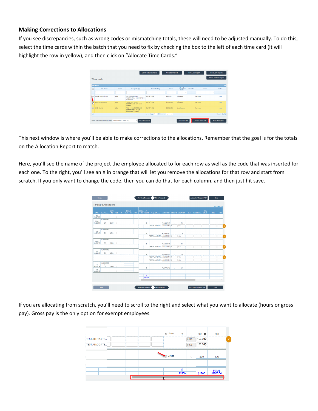#### **Making Corrections to Allocations**

If you see discrepancies, such as wrong codes or mismatching totals, these will need to be adjusted manually. To do this, select the time cards within the batch that you need to fix by checking the box to the left of each time card (it will highlight the row in yellow), and then click on "Allocate Time Cards."

|                      |                                                   |            |                                                                        | <b>Download Documents</b>    | <b>Allocation Report</b> |                             | <b>Time Card Report</b> |                                       |   | <b>Point Zero Report</b>      |
|----------------------|---------------------------------------------------|------------|------------------------------------------------------------------------|------------------------------|--------------------------|-----------------------------|-------------------------|---------------------------------------|---|-------------------------------|
|                      | <b>Timecards</b>                                  |            |                                                                        |                              |                          |                             |                         |                                       |   | <b>Batch Line Item Report</b> |
|                      |                                                   |            |                                                                        |                              |                          |                             |                         |                                       |   |                               |
|                      | <b>Timecards</b>                                  |            |                                                                        |                              |                          |                             |                         |                                       |   | ۰                             |
| $\qquad \qquad \Box$ | <b>Full Name</b>                                  | Union      | Occupation(s)                                                          | <b>Week Ending</b>           | Gross                    | Allocation<br><b>Status</b> | <b>Attention</b>        | <b>Status</b>                         |   | Action                        |
|                      |                                                   |            |                                                                        |                              |                          | ٠                           |                         |                                       | ٠ |                               |
|                      | CRANE, JOHNATHAN                                  | NON        | AA - ACCOUNTING<br>ASSISTANTAA - ACCOUNTING<br><b>ASSISTANT</b>        | 04/13/2019                   | sons on                  | Allocated                   |                         | Reviewed                              |   | <b>WEW</b>                    |
| j.                   | <b>GORDON, BARBARA</b>                            | <b>NON</b> | HAK-F - KEY HAIR -<br>EXEMPTHAK-E - KEY HAIR -<br><b>EXEMPT</b>        | 04/13/2019                   | \$1,500.00               | Allocated                   |                         | Reviewed                              |   | <b>VIEW</b>                   |
|                      | <b>V</b> KYLE, SELINA                             | <b>NON</b> | FRRO-E - FIELD PRODUCER -<br>EXEMPTEPRO-E - FIELD<br>PRODUCER - EXEMPT | 04/13/2019                   | \$2,500.00               | <b>Un-Allocated</b>         |                         | <b><i><u><u>Paviaweri</u></u></i></b> |   | <b>MEN</b>                    |
| ø                    |                                                   |            |                                                                        | salva Page 1 of 1 as as 10 v |                          |                             |                         |                                       |   | View $1 - 3$ of $3$           |
|                      |                                                   |            |                                                                        |                              |                          |                             |                         |                                       |   |                               |
|                      | Move checked timecard(s) into: UNCLAIMED (869192) |            | ٠<br><b>Move Timecards</b>                                             |                              |                          | <b>Calculate Batch</b>      |                         | <b>Allocate Timecards</b>             |   | <b>Start Workflow</b>         |

This next window is where you'll be able to make corrections to the allocations. Remember that the goal is for the totals on the Allocation Report to match.

Here, you'll see the name of the project the employee allocated to for each row as well as the code that was inserted for each one. To the right, you'll see an X in orange that will let you remove the allocations for that row and start from scratch. If you only want to change the code, then you can do that for each column, and then just hit save.

|                 |                                         |             |                |              |  |          |              |                                                                                                           |                 |                |                        |  |            |      | Full View >>>   |
|-----------------|-----------------------------------------|-------------|----------------|--------------|--|----------|--------------|-----------------------------------------------------------------------------------------------------------|-----------------|----------------|------------------------|--|------------|------|-----------------|
|                 |                                         | <b>RATE</b> |                | <b>MEALS</b> |  | TOTAL ST |              | DATE Cost Codes (X) NDB IN OUT IN OUT HRS HOURS Project Name ACCOUNT SHOWID LOCATION SET INSURANCE CREDIT |                 |                |                        |  | <b>TAX</b> | FREE | FF <sub>2</sub> |
| Sun<br>04/07/19 |                                         |             | 田              |              |  |          |              |                                                                                                           |                 |                |                        |  |            |      |                 |
| Mon<br>04/08/19 | ALLODEMO<br>$\overline{1}$<br><b>CA</b> | 1500        | $\Box$         |              |  |          | $\Delta$     |                                                                                                           | ALLODEMO        | $-1$           | CA                     |  |            |      |                 |
|                 |                                         |             |                |              |  |          |              | TEST ALLO 1# TE ALLODEM 1                                                                                 |                 |                | CA                     |  |            |      |                 |
| Tue             | ALLODEMO<br>$\mathbf{1}$                |             |                |              |  |          |              |                                                                                                           |                 |                |                        |  |            |      |                 |
| 04/09/19        | CA                                      | 1500        | m              |              |  |          | $\mathbf{1}$ |                                                                                                           | <b>ALLODEMO</b> | $\overline{1}$ | CA                     |  |            |      |                 |
|                 |                                         |             |                |              |  |          |              | TEST ALLO 3# TE ALLODEM 1                                                                                 |                 |                | CA                     |  |            |      |                 |
| Wed<br>04/10/19 | <b>ALLODEMO</b><br>л.<br>CA             | 1500        | $\blacksquare$ |              |  |          | $\mathbf{1}$ |                                                                                                           | <b>ALLODEMO</b> | $\mathbf{1}$   | <b>CA</b>              |  |            |      |                 |
|                 |                                         |             |                |              |  |          |              | TEST ALLO 2# TE ALLODEM   1                                                                               |                 |                | <b>CA</b>              |  |            |      |                 |
| Thu<br>04/11/19 | ALLODEMO<br>-1<br>CA                    | 1500        |                |              |  |          |              |                                                                                                           |                 |                |                        |  |            |      |                 |
|                 |                                         |             |                |              |  |          | 1            | TEST ALLO 1# TE ALLODEM   1                                                                               | ALLODEMO        | $\mathbf{1}$   | <b>CA</b><br><b>CA</b> |  |            |      |                 |
|                 |                                         |             |                |              |  |          |              | TEST ALLO 2# TE ALLODEM 1                                                                                 |                 |                | CA                     |  |            |      |                 |
|                 | <b>ALLODEMO</b>                         |             |                |              |  |          |              |                                                                                                           |                 |                |                        |  |            |      |                 |
| Fri<br>04/12/19 | $\mathbf{1}$<br>CA                      | 1500        |                |              |  |          | $\mathbf{1}$ |                                                                                                           | <b>ALLODEMO</b> | $\mathbf{1}$   | CA                     |  |            |      |                 |
| Sat<br>04/13/19 |                                         |             | m              |              |  |          |              |                                                                                                           |                 |                |                        |  |            |      |                 |
|                 |                                         |             |                |              |  |          | s            |                                                                                                           |                 |                |                        |  |            |      |                 |
|                 |                                         |             |                |              |  |          | \$1500       |                                                                                                           |                 |                |                        |  |            |      | ×.              |

If you are allocating from scratch, you'll need to scroll to the right and select what you want to allocate (hours or gross pay). Gross pay is the only option for exempt employees.

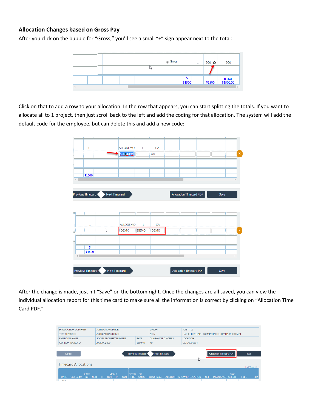#### **Allocation Changes based on Gross Pay**

After you click on the bubble for "Gross," you'll see a small "+" sign appear next to the total:



Click on that to add a row to your allocation. In the row that appears, you can start splitting the totals. If you want to allocate all to 1 project, then just scroll back to the left and add the coding for that allocation. The system will add the default code for the employee, but can delete this and add a new code:



After the change is made, just hit "Save" on the bottom right. Once the changes are all saved, you can view the individual allocation report for this time card to make sure all the information is correct by clicking on "Allocation Time Card PDF."

| <b>PRODUCTION COMPANY</b>                                                                    | <b>JOB NAME/NUMBER</b>                                                    |                                     | <b>UNION</b>            | <b>JOB TITLE</b>         |                                                               |                         |  |  |  |  |  |  |  |
|----------------------------------------------------------------------------------------------|---------------------------------------------------------------------------|-------------------------------------|-------------------------|--------------------------|---------------------------------------------------------------|-------------------------|--|--|--|--|--|--|--|
| <b>TEST FEATURES</b>                                                                         | <b>ALLOCATIONS DEMO</b>                                                   |                                     | <b>NON</b>              |                          | HAK-E - KEY HAIR - EXEMPTHAK-E - KEY HAIR - EXEMPT            |                         |  |  |  |  |  |  |  |
| <b>EMPLOYEE NAME</b>                                                                         | <b>SOCIAL SECURITY NUMBER</b>                                             | <b>RATE</b>                         | <b>GUARANTEED HOURS</b> | <b>LOCATION</b>          |                                                               |                         |  |  |  |  |  |  |  |
| <b>GORDON, BARBARA</b>                                                                       | XXX-XX-2323                                                               | 1500/W                              | 40                      | CA-LAC 91504             |                                                               |                         |  |  |  |  |  |  |  |
|                                                                                              |                                                                           |                                     |                         |                          |                                                               |                         |  |  |  |  |  |  |  |
| <b>Previous Timecard</b><br><b>Next Timecard</b><br><b>Allocation Timecard PDF</b><br>Cancel |                                                                           |                                     |                         |                          |                                                               |                         |  |  |  |  |  |  |  |
|                                                                                              |                                                                           |                                     |                         |                          |                                                               | Save                    |  |  |  |  |  |  |  |
|                                                                                              |                                                                           |                                     |                         | rz,                      |                                                               |                         |  |  |  |  |  |  |  |
| <b>Timecard Allocations</b>                                                                  |                                                                           |                                     |                         |                          |                                                               |                         |  |  |  |  |  |  |  |
|                                                                                              |                                                                           |                                     |                         |                          |                                                               | Full View >>>           |  |  |  |  |  |  |  |
|                                                                                              |                                                                           |                                     |                         |                          |                                                               |                         |  |  |  |  |  |  |  |
| <b>RATE</b><br><b>Cost Codes</b><br>(X)<br><b>DATE</b>                                       | <b>MEALS</b><br><b>OUT</b><br><b>NDB</b><br><b>OUT</b><br>IN<br><b>IN</b> | <b>TOTAL ST</b><br><b>HRS HOURS</b> | <b>Project Name</b>     | ACCOUNT SHOW ID LOCATION | <b>TAX</b><br><b>CREDIT</b><br><b>SET</b><br><b>INSURANCE</b> | FF <sub>2</sub><br>FREE |  |  |  |  |  |  |  |
| Sun.                                                                                         |                                                                           |                                     |                         |                          |                                                               |                         |  |  |  |  |  |  |  |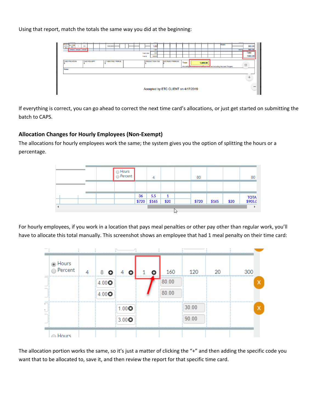Using that report, match the totals the same way you did at the beginning:



If everything is correct, you can go ahead to correct the next time card's allocations, or just get started on submitting the batch to CAPS.

#### **Allocation Changes for Hourly Employees (Non-Exempt)**

The allocations for hourly employees work the same; the system gives you the option of splitting the hours or a percentage.



For hourly employees, if you work in a location that pays meal penalties or other pay other than regular work, you'll have to allocate this total manually. This screenshot shows an employee that had 1 meal penalty on their time card:



The allocation portion works the same, so it's just a matter of clicking the "+" and then adding the specific code you want that to be allocated to, save it, and then review the report for that specific time card.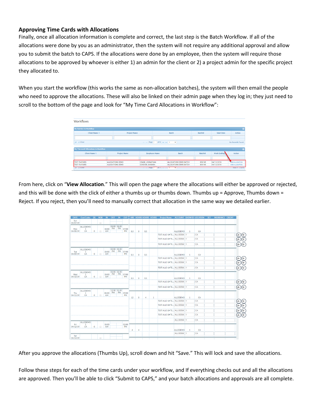#### **Approving Time Cards with Allocations**

Finally, once all allocation information is complete and correct, the last step is the Batch Workflow. If all of the allocations were done by you as an administrator, then the system will not require any additional approval and allow you to submit the batch to CAPS. If the allocations were done by an employee, then the system will require those allocations to be approved by whoever is either 1) an admin for the client or 2) a project admin for the specific project they allocated to.

When you start the workflow (this works the same as non-allocation batches), the system will then email the people who need to approve the allocations. These will also be linked on their admin page when they log in; they just need to scroll to the bottom of the page and look for "My Time Card Allocations in Workflow":

| <b>Workflows</b>                           |                     |                         |                               |                        |                |                   |                        |
|--------------------------------------------|---------------------|-------------------------|-------------------------------|------------------------|----------------|-------------------|------------------------|
| <b>My Batches In Workflow</b>              |                     |                         |                               |                        |                |                   |                        |
| Client Name $\triangle$                    | <b>Project Name</b> |                         |                               | Batch                  | <b>BatchId</b> | <b>Start Date</b> | Action                 |
|                                            |                     |                         |                               |                        |                |                   |                        |
| D @ Clear                                  |                     |                         | THE R Page 1 of 0 B P P 1 5 V |                        |                |                   | No Records Found.      |
|                                            |                     |                         |                               |                        |                |                   |                        |
|                                            |                     |                         |                               |                        |                |                   |                        |
| <b>My Timecard Allocations In Workflow</b> |                     |                         |                               |                        |                |                   |                        |
| Client Name <sup>+</sup>                   | <b>Project Name</b> |                         | <b>Employee Name</b>          | Batch                  | <b>BatchId</b> | Week Ending       | Action                 |
|                                            |                     |                         |                               |                        |                |                   |                        |
| <b>TEST FEATURES</b>                       | ALLOCATIONS DEMO    | <b>CRANE, JOHNATHAN</b> |                               | ALLOCATIONS DEMO BATCH | 869196         | 04/13/2019        | <b>VIEW ALLOCATION</b> |

From here, click on "**View Allocation**." This will open the page where the allocations will either be approved or rejected, and this will be done with the click of either a thumbs up or thumbs down. Thumbs up = Approve, Thumbs down = Reject. If you reject, then you'll need to manually correct that allocation in the same way we detailed earlier.

|                 | DATE Cost Codes                       | $\alpha$       | <b>NDB</b>           | IN                    | <b>OUT</b> | IN                | <b>OUT</b>         |     |   |                  |              | HRS HOURS HOURS HOURS Project Name ACCOUNT SHOW ID LOCATION SET INSURANCE CREDIT |                 |                |           |  |     |
|-----------------|---------------------------------------|----------------|----------------------|-----------------------|------------|-------------------|--------------------|-----|---|------------------|--------------|----------------------------------------------------------------------------------|-----------------|----------------|-----------|--|-----|
| Sun<br>04/07/19 |                                       |                | $\qquad \qquad \Box$ |                       |            |                   |                    |     |   |                  |              |                                                                                  |                 |                |           |  |     |
| Mon             | <b>ALLODEMO</b><br>$\mathbf{1}$       |                |                      | 10:00                 | PM         | 02:00 02:30       | PM 07:00           |     |   |                  |              |                                                                                  |                 |                |           |  |     |
| 04/08/19        | CA                                    | $\mathbf{0}$   | $\Box$               | AM                    |            |                   | PM                 | 8.5 | 8 | 0.5              |              |                                                                                  | ALLODEMO        | $\overline{1}$ | <b>CA</b> |  |     |
|                 |                                       |                |                      |                       |            |                   |                    |     |   |                  |              | TEST ALLO 1# TE ALLODEM 1                                                        |                 |                | CA        |  |     |
|                 |                                       |                |                      |                       |            |                   |                    |     |   |                  |              | TEST ALLO 2# TE ALLODEM 1                                                        |                 |                | CA        |  |     |
|                 |                                       |                |                      |                       |            |                   |                    |     |   |                  |              | TEST ALLO 2# TE ALLODEM 1                                                        |                 |                | CA        |  | (ф. |
| Tue             | <b>ALLODEMO</b><br>$\mathbf{1}$       |                |                      | 10:00                 | PM         | 02:00 02:30<br>PM | 07:00              |     |   |                  |              |                                                                                  |                 |                |           |  |     |
| 04/09/19        | CA                                    | $\overline{0}$ | $\Box$               | <b>AM</b>             |            |                   | <b>PM</b>          | 8.5 | 8 | 0.5              |              |                                                                                  | ALLODEMO        | $\overline{1}$ | CA        |  |     |
|                 |                                       |                |                      |                       |            |                   |                    |     |   |                  |              | TEST ALLO 3# TE ALLODEM 1                                                        |                 |                | CA        |  | ø   |
|                 |                                       |                |                      |                       |            |                   |                    |     |   |                  |              | TEST ALLO 1# TE ALLODEM 1                                                        |                 |                | CA        |  |     |
|                 |                                       |                |                      |                       |            |                   |                    |     |   |                  |              | TEST ALLO 1# TE ALLODEM 1                                                        |                 |                | <b>CA</b> |  | (ဇ  |
| Wed<br>04/10/19 | <b>ALLODEMO</b><br>$\mathbf{1}$<br>CA | $\Omega$       |                      | 10:00<br><b>AM</b>    | <b>PM</b>  | 02:00 02:30<br>PM | 07:00<br><b>PM</b> |     |   |                  |              |                                                                                  |                 |                |           |  |     |
|                 |                                       |                |                      |                       |            |                   |                    | 8.5 | 8 | 0.5              |              |                                                                                  | ALLODEMO        | $\overline{1}$ | CA        |  |     |
|                 |                                       |                |                      |                       |            |                   |                    |     |   |                  |              | TEST ALLO 2# TE ALLODEM 1                                                        |                 |                | CA        |  |     |
|                 |                                       |                |                      |                       |            |                   |                    |     |   |                  |              | TEST ALLO 2# TE ALLODEM 1                                                        |                 |                | <b>CA</b> |  | (မှ |
| Thu<br>04/11/19 | <b>ALLODEMO</b><br>$\mathbf{1}$<br>CA | $\mathbf{0}$   |                      | 08:00 PM<br><b>AM</b> |            | 12:30 01:30<br>PM | 09:00<br><b>PM</b> |     |   |                  |              |                                                                                  |                 |                |           |  |     |
|                 |                                       |                |                      |                       |            |                   |                    | 12  | 8 | $\blacktriangle$ | $\mathbf{1}$ |                                                                                  | ALLODEMO        | $\overline{1}$ | CA        |  |     |
|                 |                                       |                |                      |                       |            |                   |                    |     |   |                  |              | TEST ALLO 1# TE ALLODEM 1                                                        |                 |                | CA        |  |     |
|                 |                                       |                |                      |                       |            |                   |                    |     |   |                  |              | TEST ALLO 2# TE ALLODEM 1                                                        |                 |                | CA        |  |     |
|                 |                                       |                |                      |                       |            |                   |                    |     |   |                  |              | TEST ALLO 2# TE ALLODEM 1                                                        |                 |                | CA        |  |     |
|                 |                                       |                |                      |                       |            |                   |                    |     |   |                  |              | TEST ALLO 3# TE ALLODEM 1                                                        |                 |                | CA        |  | o   |
|                 |                                       |                |                      |                       |            |                   |                    |     |   |                  |              |                                                                                  | ALLODEM 1       |                | CA        |  |     |
| Fri<br>04/12/19 | ALLODEMO<br>1<br>CA                   | $\Omega$       |                      | 10:00<br><b>AM</b>    |            |                   | 02:00<br><b>PM</b> |     |   |                  |              |                                                                                  |                 |                |           |  |     |
|                 |                                       |                |                      |                       |            |                   |                    | 4   | 4 |                  |              |                                                                                  | <b>ALLODEMO</b> | $\mathbf{1}$   | CA        |  |     |
|                 |                                       |                |                      |                       |            |                   |                    |     |   |                  |              |                                                                                  | ALLODEM 1       |                | CA        |  |     |
| Sat<br>04/13/19 |                                       |                | $\qquad \qquad \Box$ |                       |            |                   |                    |     |   |                  |              |                                                                                  |                 |                |           |  |     |

After you approve the allocations (Thumbs Up), scroll down and hit "Save." This will lock and save the allocations.

Follow these steps for each of the time cards under your workflow, and If everything checks out and all the allocations are approved. Then you'll be able to click "Submit to CAPS," and your batch allocations and approvals are all complete.